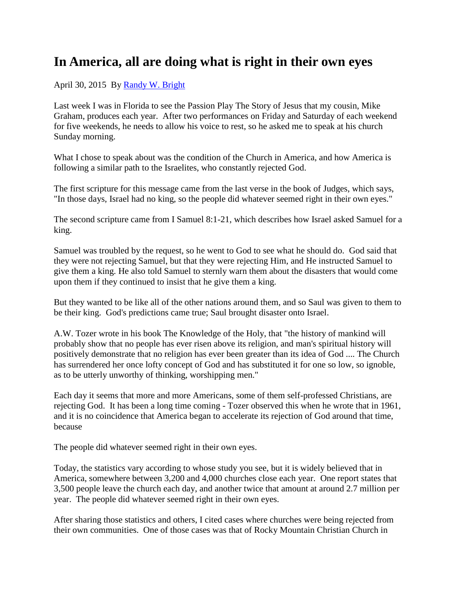## **In America, all are doing what is right in their own eyes**

April 30, 2015 By [Randy W. Bright](http://www.tulsabeacon.com/author/slug-o6yd1v)

Last week I was in Florida to see the Passion Play The Story of Jesus that my cousin, Mike Graham, produces each year. After two performances on Friday and Saturday of each weekend for five weekends, he needs to allow his voice to rest, so he asked me to speak at his church Sunday morning.

What I chose to speak about was the condition of the Church in America, and how America is following a similar path to the Israelites, who constantly rejected God.

The first scripture for this message came from the last verse in the book of Judges, which says, "In those days, Israel had no king, so the people did whatever seemed right in their own eyes."

The second scripture came from I Samuel 8:1-21, which describes how Israel asked Samuel for a king.

Samuel was troubled by the request, so he went to God to see what he should do. God said that they were not rejecting Samuel, but that they were rejecting Him, and He instructed Samuel to give them a king. He also told Samuel to sternly warn them about the disasters that would come upon them if they continued to insist that he give them a king.

But they wanted to be like all of the other nations around them, and so Saul was given to them to be their king. God's predictions came true; Saul brought disaster onto Israel.

A.W. Tozer wrote in his book The Knowledge of the Holy, that "the history of mankind will probably show that no people has ever risen above its religion, and man's spiritual history will positively demonstrate that no religion has ever been greater than its idea of God .... The Church has surrendered her once lofty concept of God and has substituted it for one so low, so ignoble, as to be utterly unworthy of thinking, worshipping men."

Each day it seems that more and more Americans, some of them self-professed Christians, are rejecting God. It has been a long time coming - Tozer observed this when he wrote that in 1961, and it is no coincidence that America began to accelerate its rejection of God around that time, because

The people did whatever seemed right in their own eyes.

Today, the statistics vary according to whose study you see, but it is widely believed that in America, somewhere between 3,200 and 4,000 churches close each year. One report states that 3,500 people leave the church each day, and another twice that amount at around 2.7 million per year. The people did whatever seemed right in their own eyes.

After sharing those statistics and others, I cited cases where churches were being rejected from their own communities. One of those cases was that of Rocky Mountain Christian Church in